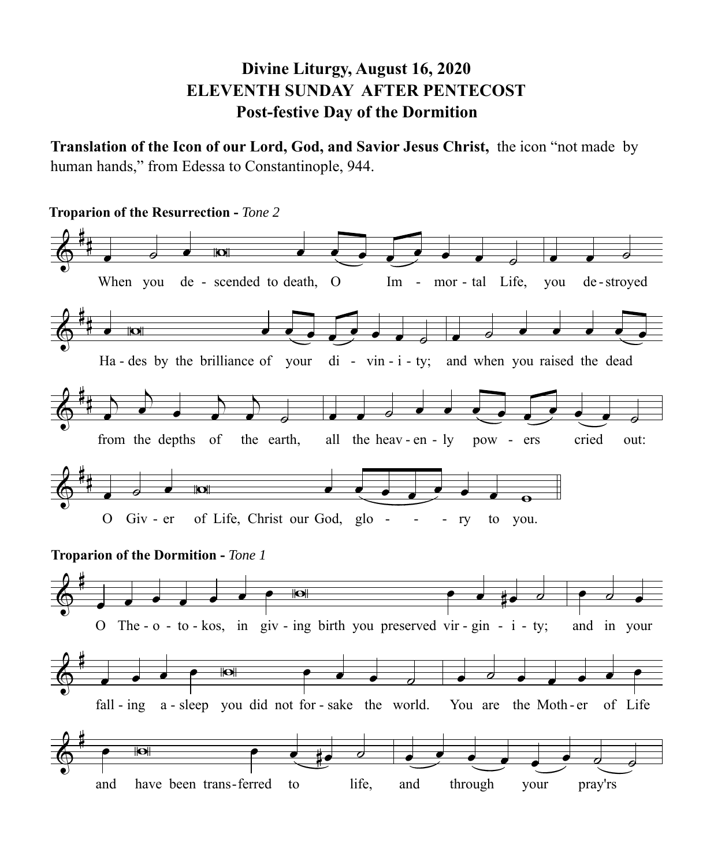## **Divine Liturgy, August 16, 2020 ELEVENTH SUNDAY AFTER PENTECOST Post-festive Day of the Dormition**

**Translation of the Icon of our Lord, God, and Savior Jesus Christ,** the icon "not made by human hands," from Edessa to Constantinople, 944.

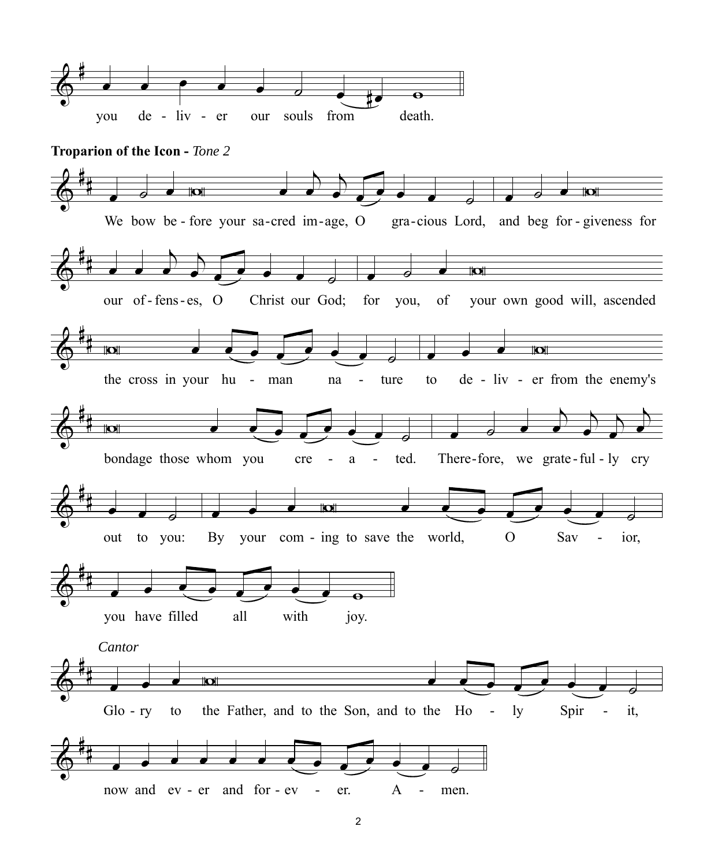

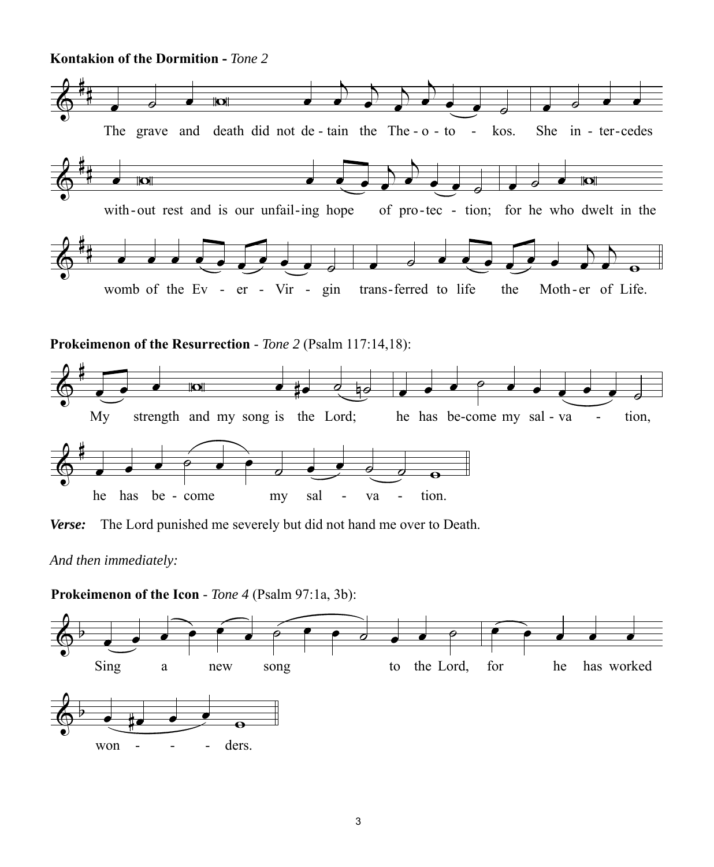**Kontakion of the Dormition -** *Tone 2*



**Prokeimenon of the Resurrection** - *Tone 2* (Psalm 117:14,18):



*Verse:* The Lord punished me severely but did not hand me over to Death.

**Prokeimenon of the Icon** - *Tone 4* (Psalm 97:1a, 3b):



*And then immediately:*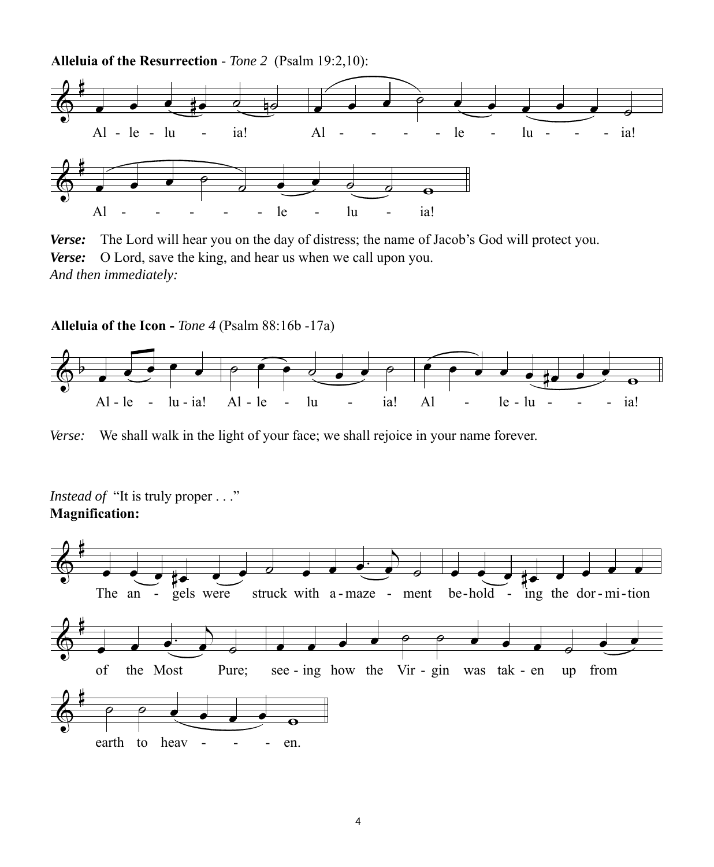**Alleluia of the Resurrection** - *Tone 2* (Psalm 19:2,10):



*Verse:* The Lord will hear you on the day of distress; the name of Jacob's God will protect you. *Verse:* O Lord, save the king, and hear us when we call upon you. *And then immediately:*

**Alleluia of the Icon -** *Tone 4* (Psalm 88:16b -17a)



*Verse:* We shall walk in the light of your face; we shall rejoice in your name forever.

*Instead of* "It is truly proper . . ." **Magnification:**

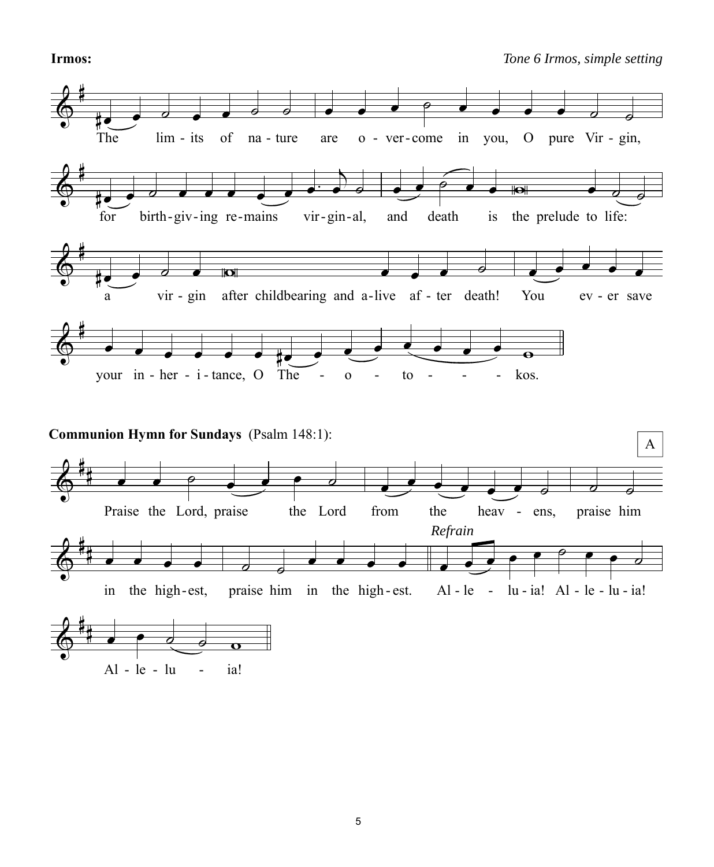## **Irmos:** *Tone 6 Irmos, simple setting*

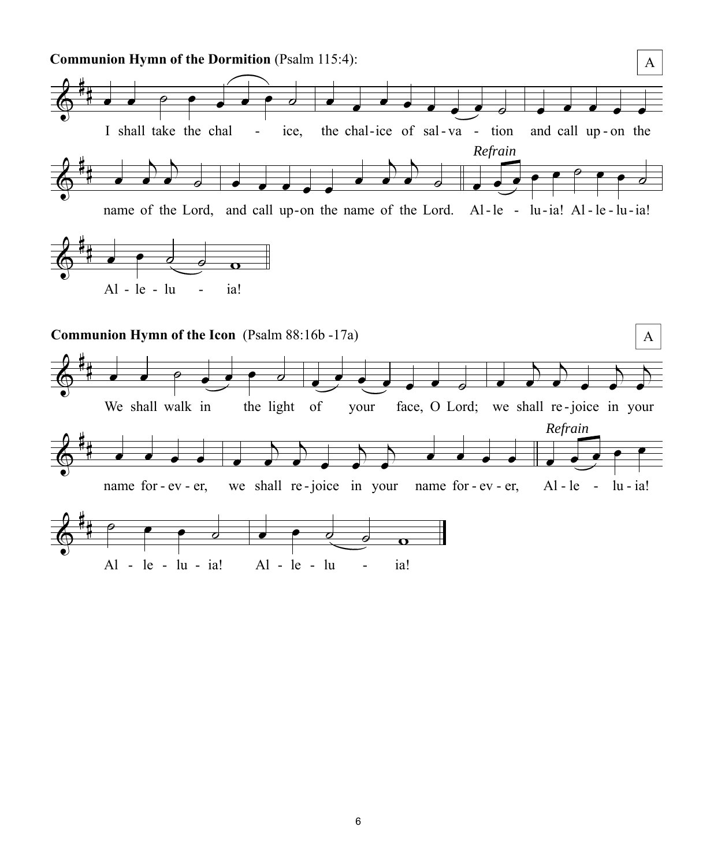